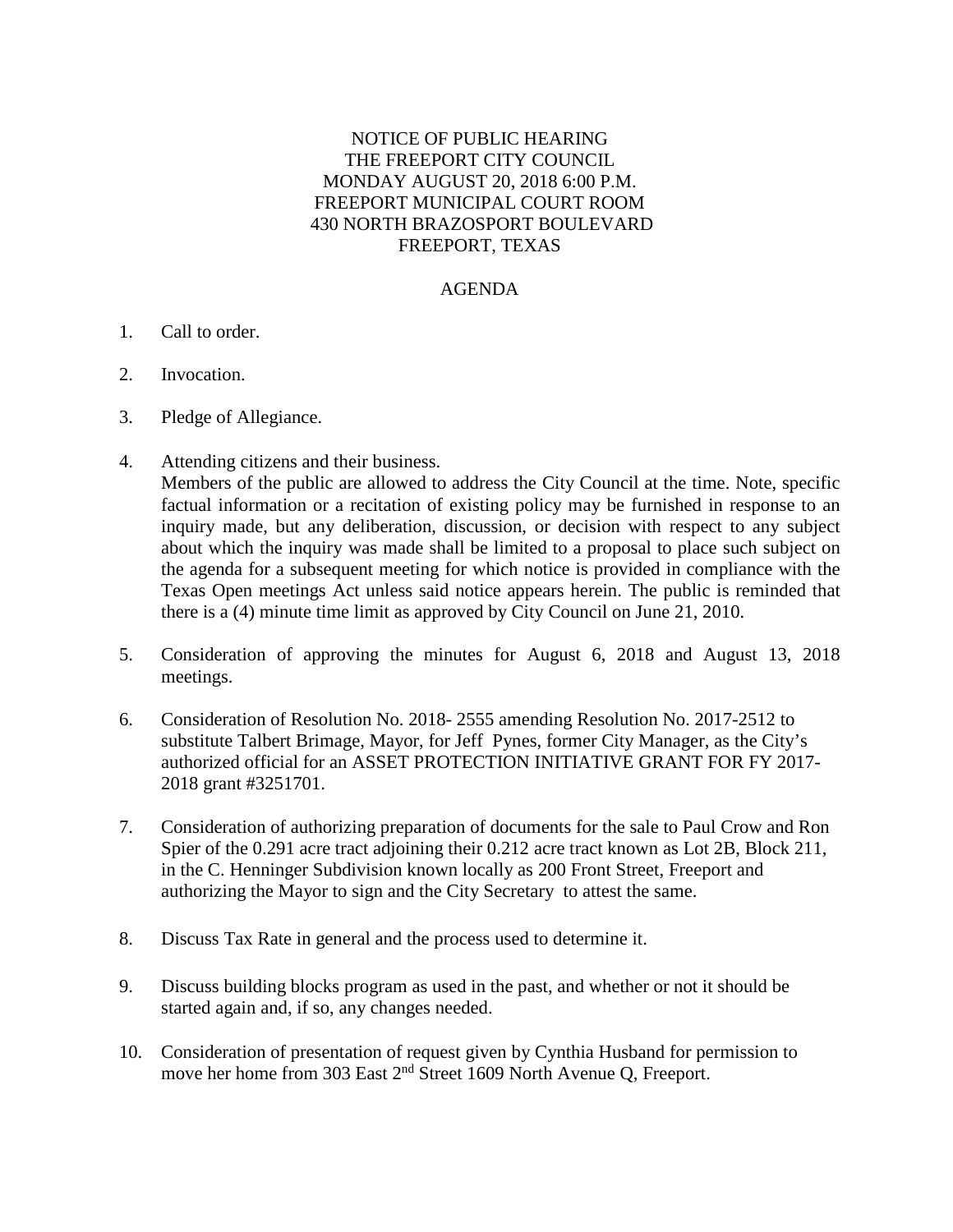## NOTICE OF PUBLIC HEARING THE FREEPORT CITY COUNCIL MONDAY AUGUST 20, 2018 6:00 P.M. FREEPORT MUNICIPAL COURT ROOM 430 NORTH BRAZOSPORT BOULEVARD FREEPORT, TEXAS

## AGENDA

- 1. Call to order.
- 2. Invocation.
- 3. Pledge of Allegiance.
- 4. Attending citizens and their business.

Members of the public are allowed to address the City Council at the time. Note, specific factual information or a recitation of existing policy may be furnished in response to an inquiry made, but any deliberation, discussion, or decision with respect to any subject about which the inquiry was made shall be limited to a proposal to place such subject on the agenda for a subsequent meeting for which notice is provided in compliance with the Texas Open meetings Act unless said notice appears herein. The public is reminded that there is a (4) minute time limit as approved by City Council on June 21, 2010.

- 5. Consideration of approving the minutes for August 6, 2018 and August 13, 2018 meetings.
- 6. Consideration of Resolution No. 2018- 2555 amending Resolution No. 2017-2512 to substitute Talbert Brimage, Mayor, for Jeff Pynes, former City Manager, as the City's authorized official for an ASSET PROTECTION INITIATIVE GRANT FOR FY 2017- 2018 grant #3251701.
- 7. Consideration of authorizing preparation of documents for the sale to Paul Crow and Ron Spier of the 0.291 acre tract adjoining their 0.212 acre tract known as Lot 2B, Block 211, in the C. Henninger Subdivision known locally as 200 Front Street, Freeport and authorizing the Mayor to sign and the City Secretary to attest the same.
- 8. Discuss Tax Rate in general and the process used to determine it.
- 9. Discuss building blocks program as used in the past, and whether or not it should be started again and, if so, any changes needed.
- 10. Consideration of presentation of request given by Cynthia Husband for permission to move her home from 303 East 2<sup>nd</sup> Street 1609 North Avenue Q, Freeport.